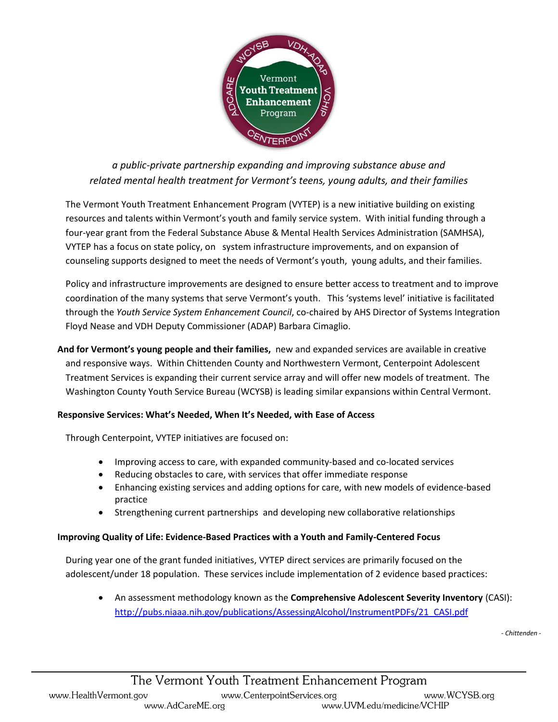

*a public-private partnership expanding and improving substance abuse and related mental health treatment for Vermont's teens, young adults, and their families*

The Vermont Youth Treatment Enhancement Program (VYTEP) is a new initiative building on existing resources and talents within Vermont's youth and family service system. With initial funding through a four-year grant from the Federal Substance Abuse & Mental Health Services Administration (SAMHSA), VYTEP has a focus on state policy, on system infrastructure improvements, and on expansion of counseling supports designed to meet the needs of Vermont's youth, young adults, and their families.

Policy and infrastructure improvements are designed to ensure better access to treatment and to improve coordination of the many systems that serve Vermont's youth. This 'systems level' initiative is facilitated through the *Youth Service System Enhancement Council*, co-chaired by AHS Director of Systems Integration Floyd Nease and VDH Deputy Commissioner (ADAP) Barbara Cimaglio.

**And for Vermont's young people and their families,** new and expanded services are available in creative and responsive ways. Within Chittenden County and Northwestern Vermont, Centerpoint Adolescent Treatment Services is expanding their current service array and will offer new models of treatment. The Washington County Youth Service Bureau (WCYSB) is leading similar expansions within Central Vermont.

## **Responsive Services: What's Needed, When It's Needed, with Ease of Access**

Through Centerpoint, VYTEP initiatives are focused on:

- Improving access to care, with expanded community-based and co-located services
- Reducing obstacles to care, with services that offer immediate response
- Enhancing existing services and adding options for care, with new models of evidence-based practice
- Strengthening current partnerships and developing new collaborative relationships

## **Improving Quality of Life: Evidence-Based Practices with a Youth and Family-Centered Focus**

During year one of the grant funded initiatives, VYTEP direct services are primarily focused on the adolescent/under 18 population. These services include implementation of 2 evidence based practices:

 An assessment methodology known as the **Comprehensive Adolescent Severity Inventory** (CASI): [http://pubs.niaaa.nih.gov/publications/AssessingAlcohol/InstrumentPDFs/21\\_CASI.pdf](http://pubs.niaaa.nih.gov/publications/AssessingAlcohol/InstrumentPDFs/21_CASI.pdf)

*- Chittenden -*